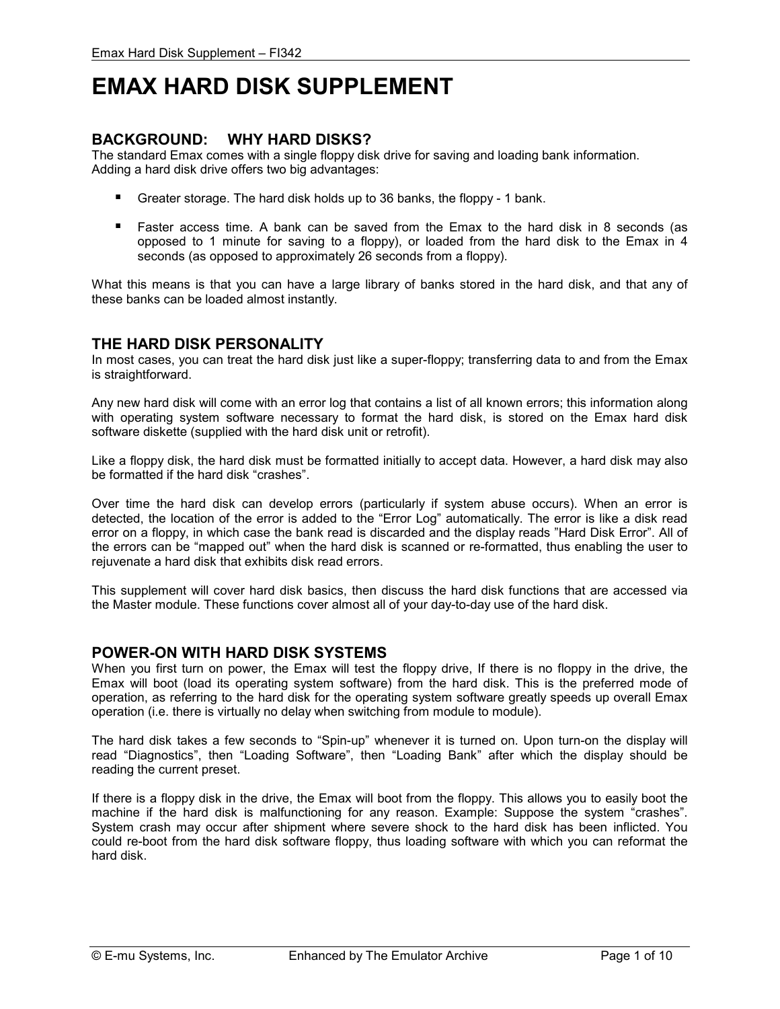# **EMAX HARD DISK SUPPLEMENT**

# **BACKGROUND: WHY HARD DISKS?**

The standard Emax comes with a single floppy disk drive for saving and loading bank information. Adding a hard disk drive offers two big advantages:

- -Greater storage. The hard disk holds up to 36 banks, the floppy - 1 bank.
- Faster access time. A bank can be saved from the Emax to the hard disk in 8 seconds (as opposed to 1 minute for saving to a floppy), or loaded from the hard disk to the Emax in 4 seconds (as opposed to approximately 26 seconds from a floppy).

What this means is that you can have a large library of banks stored in the hard disk, and that any of these banks can be loaded almost instantly.

# **THE HARD DISK PERSONALITY**

In most cases, you can treat the hard disk just like a super-floppy; transferring data to and from the Emax is straightforward.

Any new hard disk will come with an error log that contains a list of all known errors; this information along with operating system software necessary to format the hard disk, is stored on the Emax hard disk software diskette (supplied with the hard disk unit or retrofit).

Like a floppy disk, the hard disk must be formatted initially to accept data. However, a hard disk may also be formatted if the hard disk "crashes".

Over time the hard disk can develop errors (particularly if system abuse occurs). When an error is detected, the location of the error is added to the "Error Log" automatically. The error is like a disk read error on a floppy, in which case the bank read is discarded and the display reads "Hard Disk Error". All of the errors can be "mapped out" when the hard disk is scanned or re-formatted, thus enabling the user to rejuvenate a hard disk that exhibits disk read errors.

This supplement will cover hard disk basics, then discuss the hard disk functions that are accessed via the Master module. These functions cover almost all of your day-to-day use of the hard disk.

# **POWER-ON WITH HARD DISK SYSTEMS**

When you first turn on power, the Emax will test the floppy drive, If there is no floppy in the drive, the Emax will boot (load its operating system software) from the hard disk. This is the preferred mode of operation, as referring to the hard disk for the operating system software greatly speeds up overall Emax operation (i.e. there is virtually no delay when switching from module to module).

The hard disk takes a few seconds to "Spin-up" whenever it is turned on. Upon turn-on the display will read "Diagnostics", then "Loading Software", then "Loading Bank" after which the display should be reading the current preset.

If there is a floppy disk in the drive, the Emax will boot from the floppy. This allows you to easily boot the machine if the hard disk is malfunctioning for any reason. Example: Suppose the system "crashes". System crash may occur after shipment where severe shock to the hard disk has been inflicted. You could re-boot from the hard disk software floppy, thus loading software with which you can reformat the hard disk.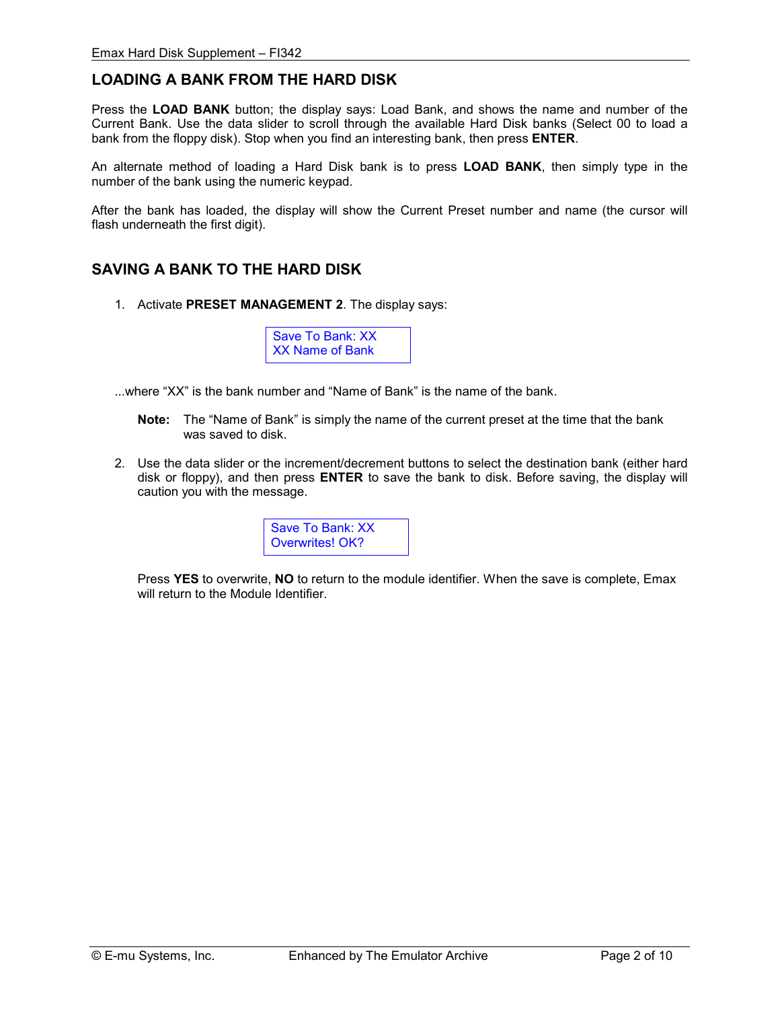# **LOADING A BANK FROM THE HARD DISK**

Press the **LOAD BANK** button; the display says: Load Bank, and shows the name and number of the Current Bank. Use the data slider to scroll through the available Hard Disk banks (Select 00 to load a bank from the floppy disk). Stop when you find an interesting bank, then press **ENTER**.

An alternate method of loading a Hard Disk bank is to press **LOAD BANK**, then simply type in the number of the bank using the numeric keypad.

After the bank has loaded, the display will show the Current Preset number and name (the cursor will flash underneath the first digit).

# **SAVING A BANK TO THE HARD DISK**

1. Activate **PRESET MANAGEMENT 2**. The display says:

Save To Bank: XX XX Name of Bank

- ...where "XX" is the bank number and "Name of Bank" is the name of the bank.
	- **Note:** The "Name of Bank" is simply the name of the current preset at the time that the bank was saved to disk.
- 2. Use the data slider or the increment/decrement buttons to select the destination bank (either hard disk or floppy), and then press **ENTER** to save the bank to disk. Before saving, the display will caution you with the message.



Press **YES** to overwrite, **NO** to return to the module identifier. When the save is complete, Emax will return to the Module Identifier.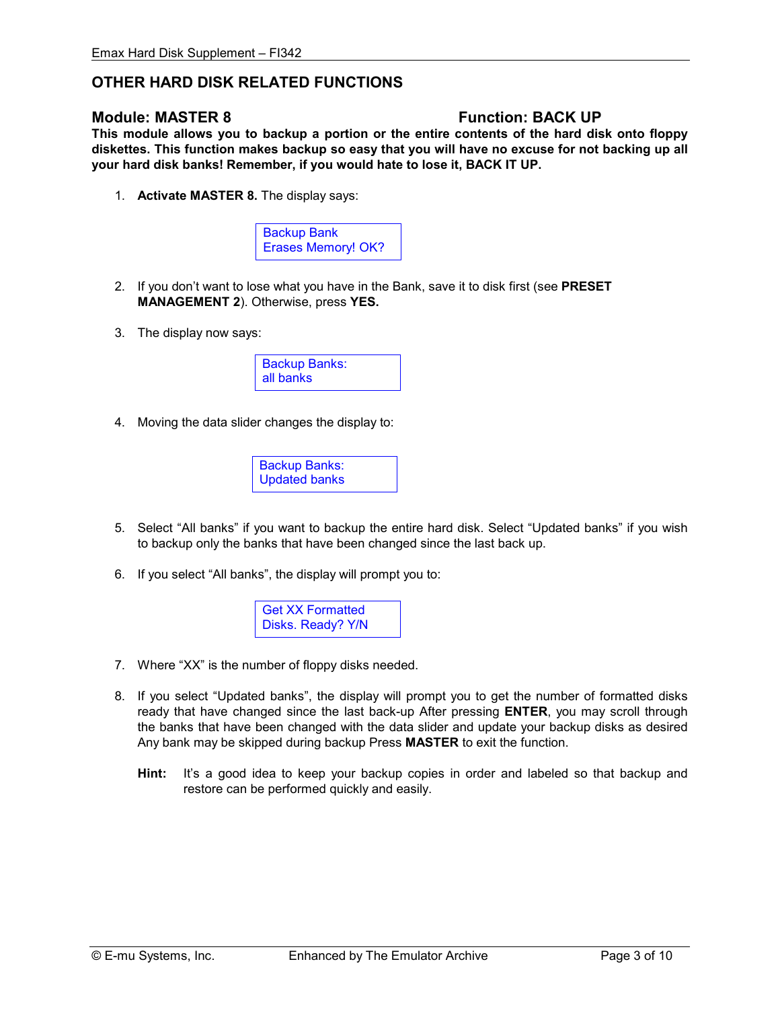# **OTHER HARD DISK RELATED FUNCTIONS**

# **Module: MASTER 8 Transform Controllering Structure Function: BACK UP**

**This module allows you to backup a portion or the entire contents of the hard disk onto floppy diskettes. This function makes backup so easy that you will have no excuse for not backing up all your hard disk banks! Remember, if you would hate to lose it, BACK IT UP.** 

1. **Activate MASTER 8.** The display says:



- 2. If you don't want to lose what you have in the Bank, save it to disk first (see **PRESET MANAGEMENT 2**). Otherwise, press **YES.**
- 3. The display now says:



4. Moving the data slider changes the display to:



- 5. Select "All banks" if you want to backup the entire hard disk. Select "Updated banks" if you wish to backup only the banks that have been changed since the last back up.
- 6. If you select "All banks", the display will prompt you to:

Get XX Formatted Disks. Ready? Y/N

- 7. Where "XX" is the number of floppy disks needed.
- 8. If you select "Updated banks", the display will prompt you to get the number of formatted disks ready that have changed since the last back-up After pressing **ENTER**, you may scroll through the banks that have been changed with the data slider and update your backup disks as desired Any bank may be skipped during backup Press **MASTER** to exit the function.
	- **Hint:** It's a good idea to keep your backup copies in order and labeled so that backup and restore can be performed quickly and easily.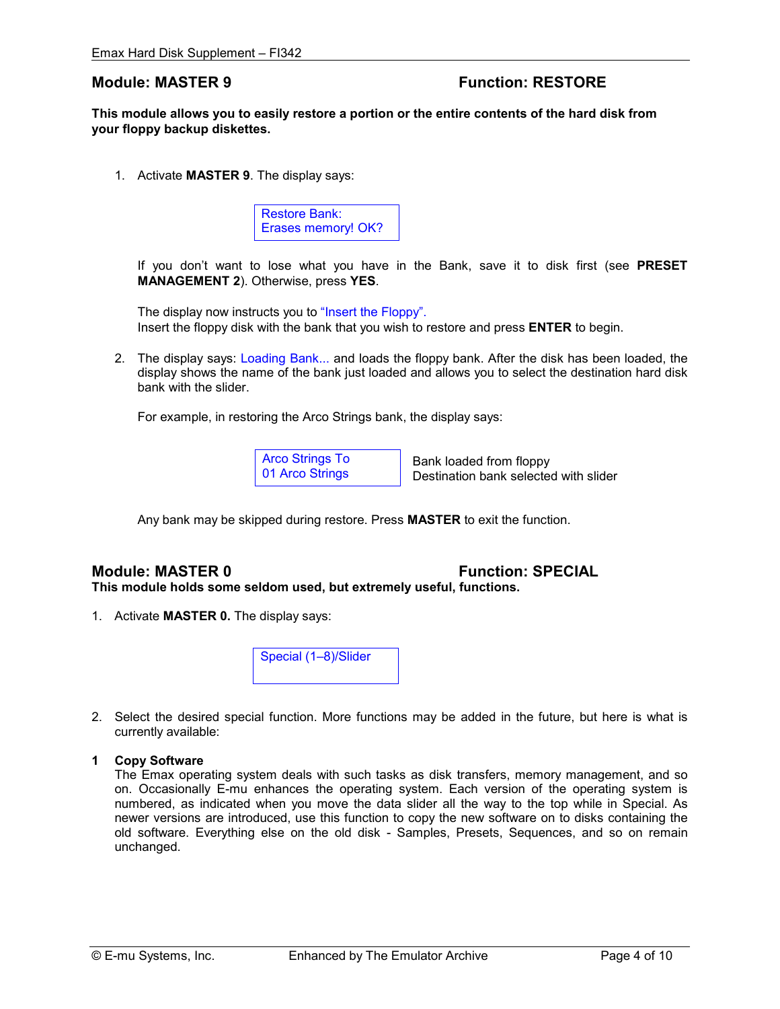# **Module: MASTER 9 THE RESTORE RESTORE**

**This module allows you to easily restore a portion or the entire contents of the hard disk from your floppy backup diskettes.** 

1. Activate **MASTER 9**. The display says:



 If you don't want to lose what you have in the Bank, save it to disk first (see **PRESET MANAGEMENT 2**). Otherwise, press **YES**.

The display now instructs you to "Insert the Floppy". Insert the floppy disk with the bank that you wish to restore and press **ENTER** to begin.

2. The display says: Loading Bank... and loads the floppy bank. After the disk has been loaded, the display shows the name of the bank just loaded and allows you to select the destination hard disk bank with the slider.

For example, in restoring the Arco Strings bank, the display says:

Arco Strings To 01 Arco Strings

 Bank loaded from floppy Destination bank selected with slider

Any bank may be skipped during restore. Press **MASTER** to exit the function.

# **Module: MASTER 0 Function: SPECIAL**

**This module holds some seldom used, but extremely useful, functions.** 

1. Activate **MASTER 0.** The display says:



2. Select the desired special function. More functions may be added in the future, but here is what is currently available:

#### **1 Copy Software**

 The Emax operating system deals with such tasks as disk transfers, memory management, and so on. Occasionally E-mu enhances the operating system. Each version of the operating system is numbered, as indicated when you move the data slider all the way to the top while in Special. As newer versions are introduced, use this function to copy the new software on to disks containing the old software. Everything else on the old disk - Samples, Presets, Sequences, and so on remain unchanged.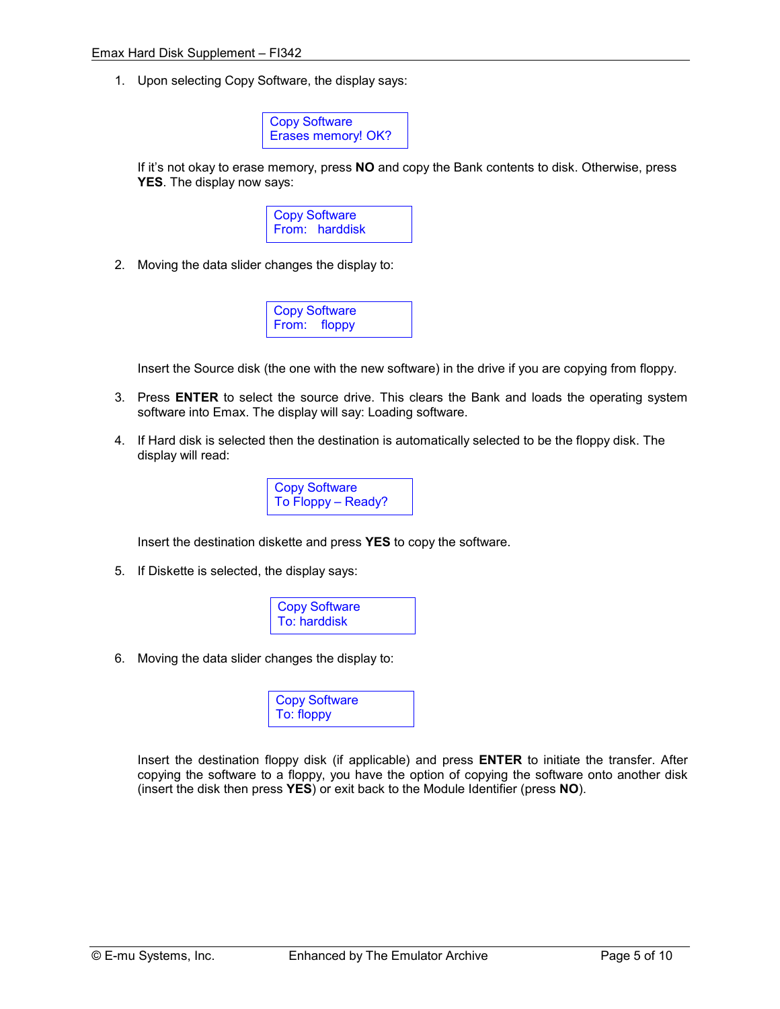1. Upon selecting Copy Software, the display says:



 If it's not okay to erase memory, press **NO** and copy the Bank contents to disk. Otherwise, press **YES**. The display now says:



2. Moving the data slider changes the display to:



Insert the Source disk (the one with the new software) in the drive if you are copying from floppy.

- 3. Press **ENTER** to select the source drive. This clears the Bank and loads the operating system software into Emax. The display will say: Loading software.
- 4. If Hard disk is selected then the destination is automatically selected to be the floppy disk. The display will read:



Insert the destination diskette and press **YES** to copy the software.

5. If Diskette is selected, the display says:



6. Moving the data slider changes the display to:

| <b>Copy Software</b><br>To: floppy |
|------------------------------------|
|------------------------------------|

 Insert the destination floppy disk (if applicable) and press **ENTER** to initiate the transfer. After copying the software to a floppy, you have the option of copying the software onto another disk (insert the disk then press **YES**) or exit back to the Module Identifier (press **NO**).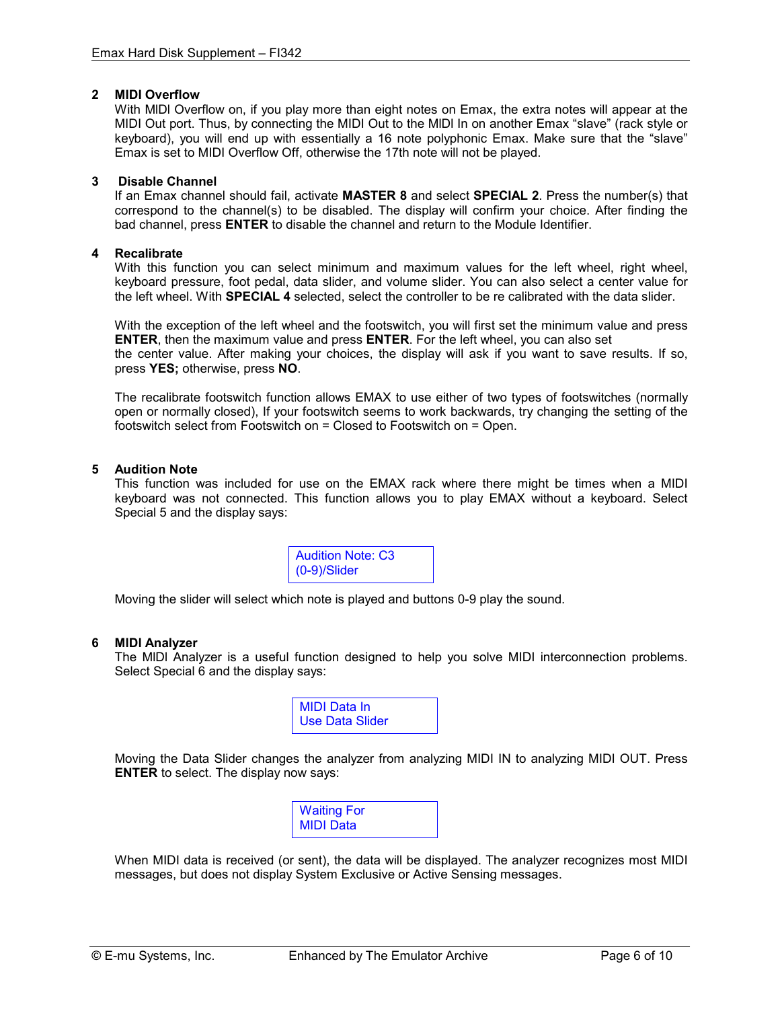#### **2 MIDI Overflow**

 With MlDl Overflow on, if you play more than eight notes on Emax, the extra notes will appear at the MIDI Out port. Thus, by connecting the MIDI Out to the MlDl In on another Emax "slave" (rack style or keyboard), you will end up with essentially a 16 note polyphonic Emax. Make sure that the "slave" Emax is set to MIDI Overflow Off, otherwise the 17th note will not be played.

#### **3 Disable Channel**

 If an Emax channel should fail, activate **MASTER 8** and select **SPECIAL 2**. Press the number(s) that correspond to the channel(s) to be disabled. The display will confirm your choice. After finding the bad channel, press **ENTER** to disable the channel and return to the Module Identifier.

#### **4 Recalibrate**

 With this function you can select minimum and maximum values for the left wheel, right wheel, keyboard pressure, foot pedal, data slider, and volume slider. You can also select a center value for the left wheel. With **SPECIAL 4** selected, select the controller to be re calibrated with the data slider.

With the exception of the left wheel and the footswitch, you will first set the minimum value and press **ENTER**, then the maximum value and press **ENTER**. For the left wheel, you can also set the center value. After making your choices, the display will ask if you want to save results. If so, press **YES;** otherwise, press **NO**.

 The recalibrate footswitch function allows EMAX to use either of two types of footswitches (normally open or normally closed), If your footswitch seems to work backwards, try changing the setting of the footswitch select from Footswitch on = Closed to Footswitch on = Open.

#### **5 Audition Note**

This function was included for use on the EMAX rack where there might be times when a MIDI keyboard was not connected. This function allows you to play EMAX without a keyboard. Select Special 5 and the display says:

> Audition Note: C3 (0-9)/Slider

Moving the slider will select which note is played and buttons 0-9 play the sound.

#### **6 MlDl Analyzer**

 The MlDl Analyzer is a useful function designed to help you solve MIDI interconnection problems. Select Special 6 and the display says:



Moving the Data Slider changes the analyzer from analyzing MIDI IN to analyzing MIDI OUT. Press **ENTER** to select. The display now says:

| <b>Waiting For</b> |  |
|--------------------|--|
| MIDI Data          |  |

 When MIDI data is received (or sent), the data will be displayed. The analyzer recognizes most MIDI messages, but does not display System Exclusive or Active Sensing messages.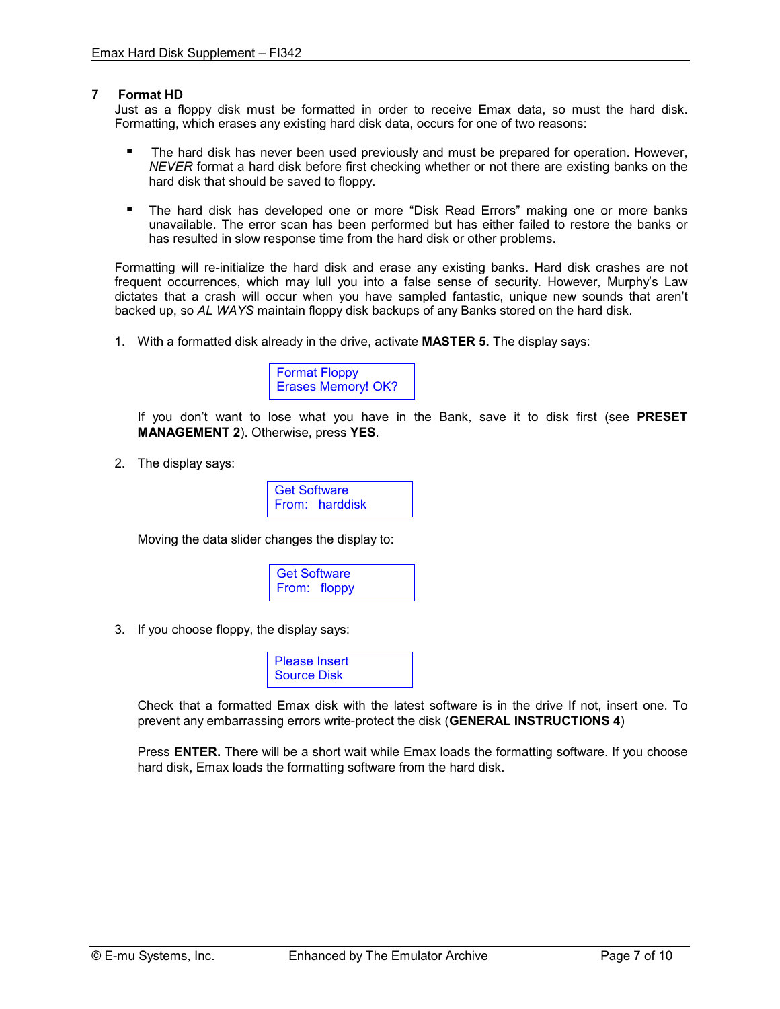#### **7 Format HD**

 Just as a floppy disk must be formatted in order to receive Emax data, so must the hard disk. Formatting, which erases any existing hard disk data, occurs for one of two reasons:

- - The hard disk has never been used previously and must be prepared for operation. However, *NEVER* format a hard disk before first checking whether or not there are existing banks on the hard disk that should be saved to floppy.
- The hard disk has developed one or more "Disk Read Errors" making one or more banks unavailable. The error scan has been performed but has either failed to restore the banks or has resulted in slow response time from the hard disk or other problems.

 Formatting will re-initialize the hard disk and erase any existing banks. Hard disk crashes are not frequent occurrences, which may lull you into a false sense of security. However, Murphy's Law dictates that a crash will occur when you have sampled fantastic, unique new sounds that aren't backed up, so *AL WAYS* maintain floppy disk backups of any Banks stored on the hard disk.

1. With a formatted disk already in the drive, activate **MASTER 5.** The display says:



If you don't want to lose what you have in the Bank, save it to disk first (see **PRESET MANAGEMENT 2**). Otherwise, press **YES**.

2. The display says:



Moving the data slider changes the display to:



3. If you choose floppy, the display says:



Check that a formatted Emax disk with the latest software is in the drive If not, insert one. To prevent any embarrassing errors write-protect the disk (**GENERAL INSTRUCTIONS 4**)

Press **ENTER.** There will be a short wait while Emax loads the formatting software. If you choose hard disk, Emax loads the formatting software from the hard disk.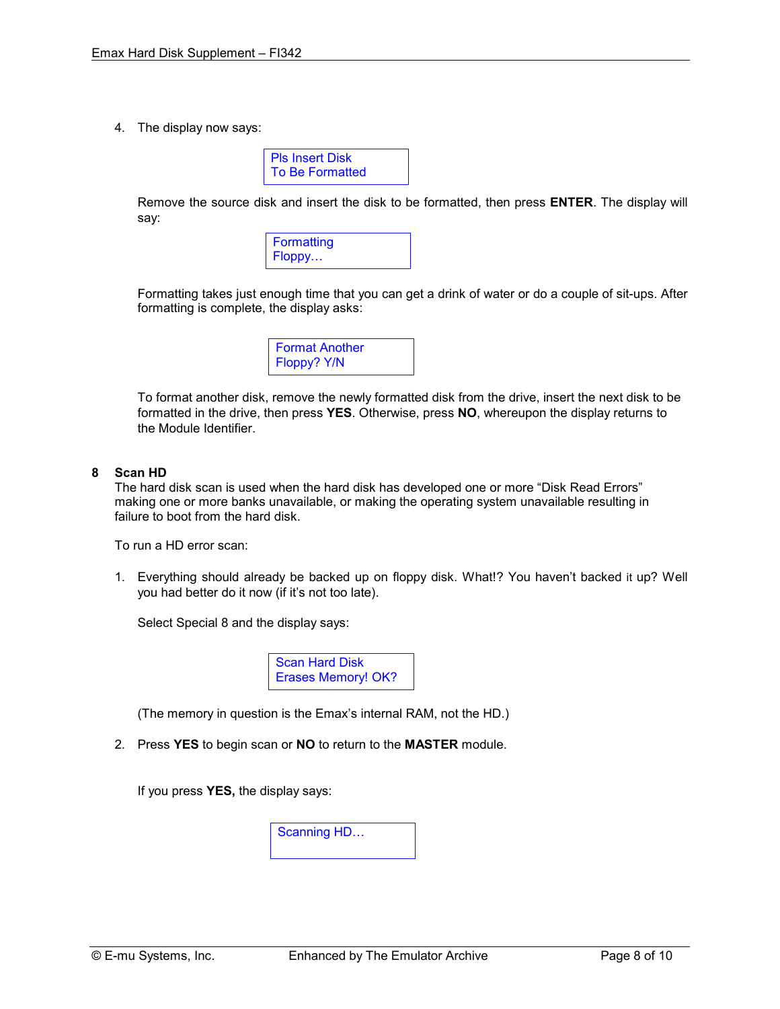4. The display now says:

| PIs Insert Disk        |  |
|------------------------|--|
| <b>To Be Formatted</b> |  |

Remove the source disk and insert the disk to be formatted, then press **ENTER**. The display will say:



Formatting takes just enough time that you can get a drink of water or do a couple of sit-ups. After formatting is complete, the display asks:

| <b>Format Another</b> |  |
|-----------------------|--|
| Floppy? Y/N           |  |

To format another disk, remove the newly formatted disk from the drive, insert the next disk to be formatted in the drive, then press **YES**. Otherwise, press **NO**, whereupon the display returns to the Module Identifier.

#### **8 Scan HD**

 The hard disk scan is used when the hard disk has developed one or more "Disk Read Errors" making one or more banks unavailable, or making the operating system unavailable resulting in failure to boot from the hard disk.

To run a HD error scan:

1. Everything should already be backed up on floppy disk. What!? You haven't backed it up? Well you had better do it now (if it's not too late).

Select Special 8 and the display says:



(The memory in question is the Emax's internal RAM, not the HD.)

2. Press **YES** to begin scan or **NO** to return to the **MASTER** module.

If you press **YES,** the display says:

Scanning HD…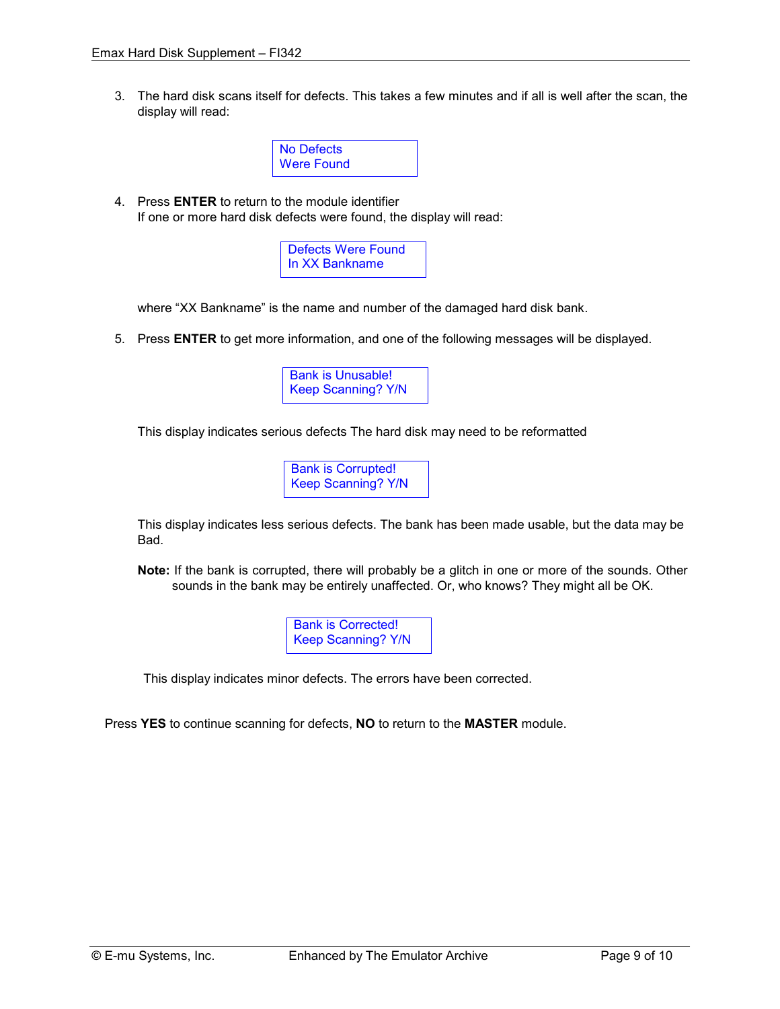3. The hard disk scans itself for defects. This takes a few minutes and if all is well after the scan, the display will read:



4. Press **ENTER** to return to the module identifier If one or more hard disk defects were found, the display will read:

> Defects Were Found In XX Bankname

where "XX Bankname" is the name and number of the damaged hard disk bank.

5. Press **ENTER** to get more information, and one of the following messages will be displayed.



This display indicates serious defects The hard disk may need to be reformatted

Bank is Corrupted! Keep Scanning? Y/N

 This display indicates less serious defects. The bank has been made usable, but the data may be Bad.

**Note:** If the bank is corrupted, there will probably be a glitch in one or more of the sounds. Other sounds in the bank may be entirely unaffected. Or, who knows? They might all be OK.

> Bank is Corrected! Keep Scanning? Y/N

This display indicates minor defects. The errors have been corrected.

Press **YES** to continue scanning for defects, **NO** to return to the **MASTER** module.